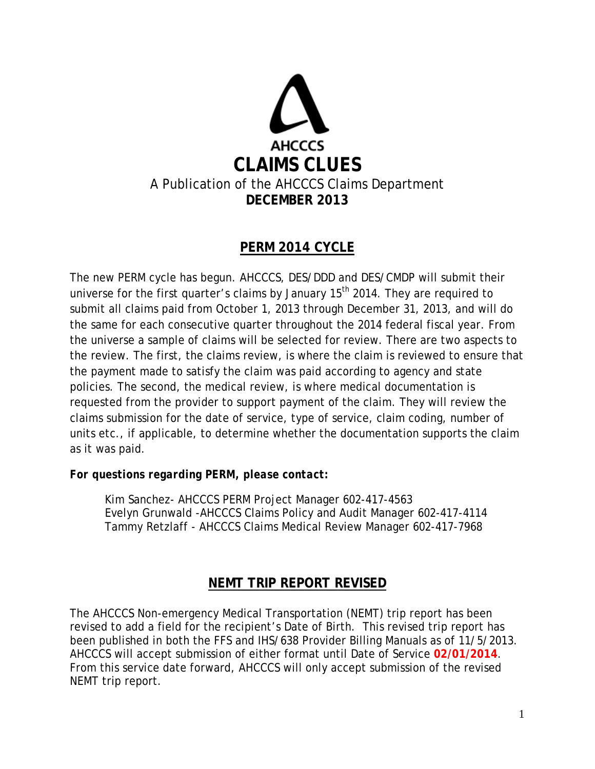

# **PERM 2014 CYCLE**

The new PERM cycle has begun. AHCCCS, DES/DDD and DES/CMDP will submit their universe for the first quarter's claims by January 15<sup>th</sup> 2014. They are required to submit all claims paid from October 1, 2013 through December 31, 2013, and will do the same for each consecutive quarter throughout the 2014 federal fiscal year. From the universe a sample of claims will be selected for review. There are two aspects to the review. The first, the claims review, is where the claim is reviewed to ensure that the payment made to satisfy the claim was paid according to agency and state policies. The second, the medical review, is where medical documentation is requested from the provider to support payment of the claim. They will review the claims submission for the date of service, type of service, claim coding, number of units etc., if applicable, to determine whether the documentation supports the claim as it was paid.

#### *For questions regarding PERM, please contact:*

Kim Sanchez- AHCCCS PERM Project Manager 602-417-4563 Evelyn Grunwald -AHCCCS Claims Policy and Audit Manager 602-417-4114 Tammy Retzlaff - AHCCCS Claims Medical Review Manager 602-417-7968

# **NEMT TRIP REPORT REVISED**

The AHCCCS Non-emergency Medical Transportation (NEMT) trip report has been revised to add a field for the recipient's Date of Birth. This revised trip report has been published in both the FFS and IHS/638 Provider Billing Manuals as of 11/5/2013. AHCCCS will accept submission of either format until Date of Service **02/01/2014**. From this service date forward, AHCCCS will only accept submission of the revised NEMT trip report.